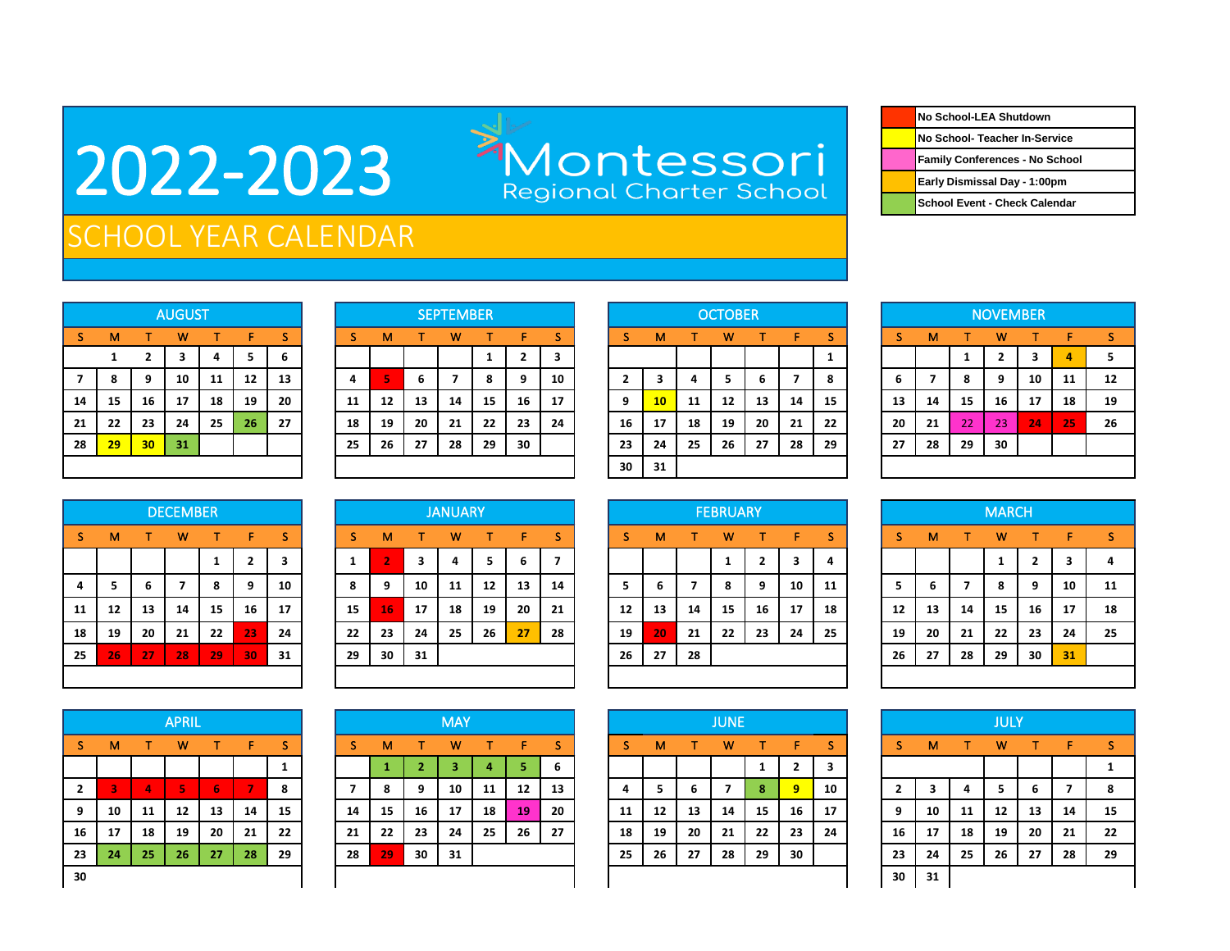## 2022-2023

Montessori<br>Regional Charter School

| No School-LEA Shutdown         |
|--------------------------------|
| No School- Teacher In-Service  |
| Family Conferences - No School |
| Early Dismissal Day - 1:00pm   |
| School Event - Check Calendar  |

## SCHOOL YEAR CALENDAR

|    |    |                | <b>AUGUST</b> |    |    |    |
|----|----|----------------|---------------|----|----|----|
| S  | M  | т              | W             | т  | F  | S  |
|    | 1  | $\overline{2}$ | 3             | 4  | 5  | 6  |
| 7  | 8  | 9              | 10            | 11 | 12 | 13 |
| 14 | 15 | 16             | 17            | 18 | 19 | 20 |
| 21 | 22 | 23             | 24            | 25 | 26 | 27 |
| 28 | 29 | 30             | 31            |    |    |    |
|    |    |                |               |    |    |    |

|    |                 |                 | <b>AUGUST</b> |    |    |    |    |                   |    | <b>SEPTEMBER</b> |    |    |    |      |                 |    | <b>OCTOBER</b> |    |    |    |    |    |    | <b>NOVEMBER</b> |    |    |    |
|----|-----------------|-----------------|---------------|----|----|----|----|-------------------|----|------------------|----|----|----|------|-----------------|----|----------------|----|----|----|----|----|----|-----------------|----|----|----|
| S. | м               |                 | w             |    |    |    |    | м                 |    | w                |    | ь  |    |      | м               |    | w              |    |    |    |    | м  |    | w               |    |    |    |
|    |                 |                 |               | 4  |    | ь  |    |                   |    |                  |    | ∍  | 3  |      |                 |    |                |    |    |    |    |    |    | י<br>▴          |    | Д  |    |
|    | 8               | 9               | 10            | 11 | 12 | 13 |    | E,                | ь  |                  | 8  | 9  | 10 |      |                 |    |                | ь  |    | 8  | b  |    | 8  | 9               | 10 | 11 | 12 |
| 14 | -15             | 16              | 17            | 18 | 19 | 20 | 11 | $12 \overline{ }$ | 13 | 14               | 15 | 16 | 17 | 9    | 10 <sup>1</sup> | 11 | 12             | 13 | 14 | 15 | 13 | 14 | 15 | 16              | 17 | 18 | 19 |
| 21 | 22              | 23              | 24            | 25 | 26 | 27 | 18 | 19                | 20 | 21               | 22 | 23 | 24 | 16   | 17              | 18 | 19             | 20 | 21 | 22 | 20 | 21 | 22 | 23              | 24 | 25 | 26 |
| 28 | 29 <sub>2</sub> | 30 <sub>1</sub> | 31            |    |    |    | 25 | 26                | 27 | 28               | 29 | 30 |    | 23   | 24              | 25 | 26             | 27 | 28 | 29 | 27 | 28 | 29 | 30              |    |    |    |
|    |                 |                 |               |    |    |    |    |                   |    |                  |    |    |    | 30 I | -31             |    |                |    |    |    |    |    |    |                 |    |    |    |

|              |    |    | <b>OCTOBER</b> |    |    |    |
|--------------|----|----|----------------|----|----|----|
| <sub>S</sub> | M  | т  | W              | т  | F  | S  |
|              |    |    |                |    |    | 1  |
| $\mathbf{2}$ | 3  | 4  | 5              | 6  | 7  | 8  |
| 9            | 10 | 11 | 12             | 13 | 14 | 15 |
| 16           | 17 | 18 | 19             | 20 | 21 | 22 |
| 23           | 24 | 25 | 26             | 27 | 28 | 29 |
| 30           | 31 |    |                |    |    |    |

|    |    |    | <b>NOVEMBER</b> |    |    |    |
|----|----|----|-----------------|----|----|----|
| -S | M  | т  | W               | т  | F  | S  |
|    |    | 1  | $\mathbf{2}$    | 3  | 4  | 5  |
| 6  | 7  | 8  | 9               | 10 | 11 | 12 |
| 13 | 14 | 15 | 16              | 17 | 18 | 19 |
| 20 | 21 | 22 | 23              | 24 | 25 | 26 |
| 27 | 28 | 29 | 30              |    |    |    |
|    |    |    |                 |    |    |    |

|    |    |    | <b>DECEMBER</b> |              |                |    |
|----|----|----|-----------------|--------------|----------------|----|
| S  | M  | т  | W               | т            | F              | S  |
|    |    |    |                 | $\mathbf{1}$ | $\overline{2}$ | 3  |
| 4  | 5  | 6  | $\overline{7}$  | 8            | 9              | 10 |
| 11 | 12 | 13 | 14              | 15           | 16             | 17 |
| 18 | 19 | 20 | 21              | 22           | 23             | 24 |
| 25 | 26 | 27 | 28              | 29           | 30             | 31 |
|    |    |    |                 |              |                |    |

|                |    |     | <b>DECEMBER</b> |    |                |    |    |                |    | <b>JANUARY</b> |    |                 |      |    |    |    | <b>FEBRUARY</b> |    |    |    |    |    |    | <b>MARCH</b> |    |    |    |
|----------------|----|-----|-----------------|----|----------------|----|----|----------------|----|----------------|----|-----------------|------|----|----|----|-----------------|----|----|----|----|----|----|--------------|----|----|----|
| S.             | м  |     | w               |    | F              | S  | .S | M              |    | w              |    | F.              | S    |    | м  |    | w               |    | F. | s  | S  | м  |    | w            |    | F  | s  |
|                |    |     |                 |    | $\overline{2}$ | з  |    | $\overline{2}$ |    | 4              | э  | 6               |      |    |    |    |                 |    |    | 4  |    |    |    |              | ▴  |    |    |
| $\overline{4}$ |    | 6   |                 | 8  | 9              | 10 | 8  | 9              | 10 | 11             | 12 | 13              | 14   | 5  | 6  |    |                 | 9  | 10 | 11 | 5  | b  |    | 8            | 9  | 10 | 11 |
| 11             | 12 | 13  | 14              | 15 | 16             | 17 | 15 | 16             | 17 | 18             | 19 | 20              | 21   | 12 | 13 | 14 | 15              | 16 | 17 | 18 | 12 | 13 | 14 | 15           | 16 | 17 | 18 |
| 18             | 19 | 20  | 21              | 22 | 23             | 24 | 22 | 23             | 24 | 25             | 26 | 27 <sup>1</sup> | - 28 | 19 | 20 | 21 | 22              | 23 | 24 | 25 | 19 | 20 | 21 | 22           | 23 | 24 | 25 |
| 25             | 26 | -27 | 28              | 29 | 30             | 31 | 29 | 30             | 31 |                |    |                 |      | 26 | 27 | 28 |                 |    |    |    | 26 | 27 | 28 | 29           | 30 | 31 |    |
|                |    |     |                 |    |                |    |    |                |    |                |    |                 |      |    |    |    |                 |    |    |    |    |    |    |              |    |    |    |

|              |    |          | <b>APRIL</b>            |    |                |    |    |    |    | <b>MAY</b> |    |    |    |    |    |    | <b>JUNE</b> |    |                |    |    |    |    | <b>JULY</b> |    |    |    |
|--------------|----|----------|-------------------------|----|----------------|----|----|----|----|------------|----|----|----|----|----|----|-------------|----|----------------|----|----|----|----|-------------|----|----|----|
| s.           | м  | т        | w                       |    | F              | s  | S. | M  |    | w          |    | F. | S. |    | м  |    | w           |    | F.             | S. | S  | м  | т  | w           |    | F  |    |
|              |    |          |                         |    |                |    |    |    |    |            |    | 5. | 6  |    |    |    |             | 1  | $\overline{2}$ | 3  |    |    |    |             |    |    |    |
| $\mathbf{2}$ |    | $\Delta$ | $\overline{\mathbf{5}}$ | 6  | <b>Service</b> | 8  |    | 8  | 9  | 10         | 11 | 12 | 13 | 4  | ь  | b  |             | 8  | 9              | 10 |    | 3  | 4  | 5           | 6  |    | -8 |
| 9            | 10 | 11       | 12                      | 13 | 14             | 15 | 14 | 15 | 16 | 17         | 18 | 19 | 20 | 11 | 12 | 13 | 14          | 15 | 16             | 17 | 9  | 10 | 11 | 12          | 13 | 14 | 15 |
| 16           | 17 | 18       | 19                      | 20 | 21             | 22 | 21 | 22 | 23 | 24         | 25 | 26 | 27 | 18 | 19 | 20 | 21          | 22 | 23             | 24 | 16 | 17 | 18 | 19          | 20 | 21 | 22 |
| 23           | 24 | 25       | 26                      | 27 | 28             | 29 | 28 | 29 | 30 | 31         |    |    |    | 25 | 26 | 27 | 28          | 29 | 30             |    | 23 | 24 | 25 | 26          | 27 | 28 | 29 |
| 30           |    |          |                         |    |                |    |    |    |    |            |    |    |    |    |    |    |             |    |                | 30 | 31 |    |    |             |    |    |    |

|    |    |    | <b>FEBRUARY</b> |                |                         |    |
|----|----|----|-----------------|----------------|-------------------------|----|
| S  | M  | т  | W               | т              | F                       | S  |
|    |    |    | 1               | $\overline{2}$ | $\overline{\mathbf{3}}$ | 4  |
| 5  | 6  | 7  | 8               | 9              | 10                      | 11 |
| 12 | 13 | 14 | 15              | 16             | 17                      | 18 |
| 19 | 20 | 21 | 22              | 23             | 24                      | 25 |
| 26 | 27 | 28 |                 |                |                         |    |
|    |    |    |                 |                |                         |    |

| S  | M  | т  | W  | т  | F  | -S |
|----|----|----|----|----|----|----|
|    |    |    |    |    |    |    |
|    |    |    | 1  | 2  | 3  | 4  |
| 5  | 6  | 7  | 8  | 9  | 10 | 11 |
| 12 | 13 | 14 | 15 | 16 | 17 | 18 |
| 19 | 20 | 21 | 22 | 23 | 24 | 25 |
| 26 | 27 | 28 | 29 | 30 | 31 |    |
|    |    |    |    |    |    |    |

|                         |    |    | <b>JUNE</b> |              |              |    |
|-------------------------|----|----|-------------|--------------|--------------|----|
| <sub>S</sub>            | м  | т  | W           | т            | F            | S  |
|                         |    |    |             | $\mathbf{1}$ | $\mathbf{2}$ | 3  |
| $\overline{\mathbf{a}}$ | 5  | 6  | 7           | 8            | 9            | 10 |
| 11                      | 12 | 13 | 14          | 15           | 16           | 17 |
| 18                      | 19 | 20 | 21          | 22           | 23           | 24 |
| 25                      | 26 | 27 | 28          | 29           | 30           |    |
|                         |    |    |             |              |              |    |

|                         | <b>JULY</b> |    |    |    |                |    |  |  |  |  |  |  |  |  |  |
|-------------------------|-------------|----|----|----|----------------|----|--|--|--|--|--|--|--|--|--|
| S                       | M           | т  | W  | т  | F              | S  |  |  |  |  |  |  |  |  |  |
|                         |             |    |    |    |                | 1  |  |  |  |  |  |  |  |  |  |
| $\overline{\mathbf{2}}$ | 3           | 4  | 5  | 6  | $\overline{7}$ | 8  |  |  |  |  |  |  |  |  |  |
| 9                       | 10          | 11 | 12 | 13 | 14             | 15 |  |  |  |  |  |  |  |  |  |
| 16                      | 17          | 18 | 19 | 20 | 21             | 22 |  |  |  |  |  |  |  |  |  |
| 23                      | 24          | 25 | 26 | 27 | 28             | 29 |  |  |  |  |  |  |  |  |  |
| 30                      | 31          |    |    |    |                |    |  |  |  |  |  |  |  |  |  |